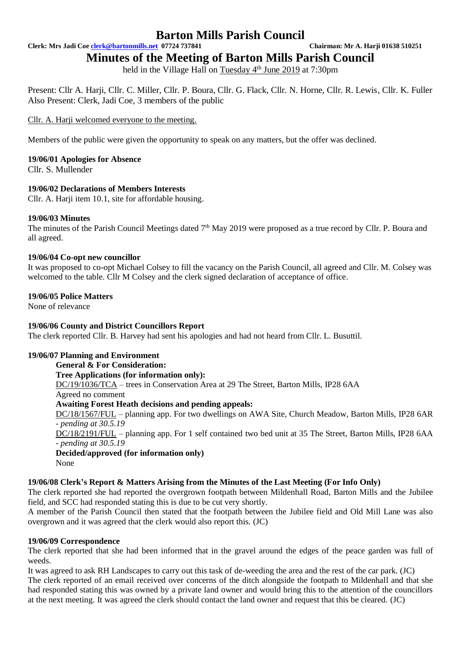**Clerk: Mrs Jadi Coe [clerk@bartonmills.net](mailto:clerk@bartonmills.net) 07724 737841 Chairman: Mr A. Harji 01638 510251**

**Minutes of the Meeting of Barton Mills Parish Council**

held in the Village Hall on Tuesday 4<sup>th</sup> June 2019 at 7:30pm

Present: Cllr A. Harji, Cllr. C. Miller, Cllr. P. Boura, Cllr. G. Flack, Cllr. N. Horne, Cllr. R. Lewis, Cllr. K. Fuller Also Present: Clerk, Jadi Coe, 3 members of the public

Cllr. A. Harji welcomed everyone to the meeting.

Members of the public were given the opportunity to speak on any matters, but the offer was declined.

# **19/06/01 Apologies for Absence**

Cllr. S. Mullender

## **19/06/02 Declarations of Members Interests**

Cllr. A. Harji item 10.1, site for affordable housing.

## **19/06/03 Minutes**

The minutes of the Parish Council Meetings dated 7<sup>th</sup> May 2019 were proposed as a true record by Cllr. P. Boura and all agreed.

### **19/06/04 Co-opt new councillor**

It was proposed to co-opt Michael Colsey to fill the vacancy on the Parish Council, all agreed and Cllr. M. Colsey was welcomed to the table. Cllr M Colsey and the clerk signed declaration of acceptance of office.

### **19/06/05 Police Matters**

None of relevance

### **19/06/06 County and District Councillors Report**

The clerk reported Cllr. B. Harvey had sent his apologies and had not heard from Cllr. L. Busuttil.

# **19/06/07 Planning and Environment**

**General & For Consideration: Tree Applications (for information only):** DC/19/1036/TCA – trees in Conservation Area at 29 The Street, Barton Mills, IP28 6AA Agreed no comment **Awaiting Forest Heath decisions and pending appeals:** DC/18/1567/FUL – planning app. For two dwellings on AWA Site, Church Meadow, Barton Mills, IP28 6AR *- pending at 30.5.19* DC/18/2191/FUL – planning app. For 1 self contained two bed unit at 35 The Street, Barton Mills, IP28 6AA *- pending at 30.5.19*

**Decided/approved (for information only)** None

### **19/06/08 Clerk's Report & Matters Arising from the Minutes of the Last Meeting (For Info Only)**

The clerk reported she had reported the overgrown footpath between Mildenhall Road, Barton Mills and the Jubilee field, and SCC had responded stating this is due to be cut very shortly.

A member of the Parish Council then stated that the footpath between the Jubilee field and Old Mill Lane was also overgrown and it was agreed that the clerk would also report this. (JC)

### **19/06/09 Correspondence**

The clerk reported that she had been informed that in the gravel around the edges of the peace garden was full of weeds.

It was agreed to ask RH Landscapes to carry out this task of de-weeding the area and the rest of the car park. (JC) The clerk reported of an email received over concerns of the ditch alongside the footpath to Mildenhall and that she had responded stating this was owned by a private land owner and would bring this to the attention of the councillors at the next meeting. It was agreed the clerk should contact the land owner and request that this be cleared. (JC)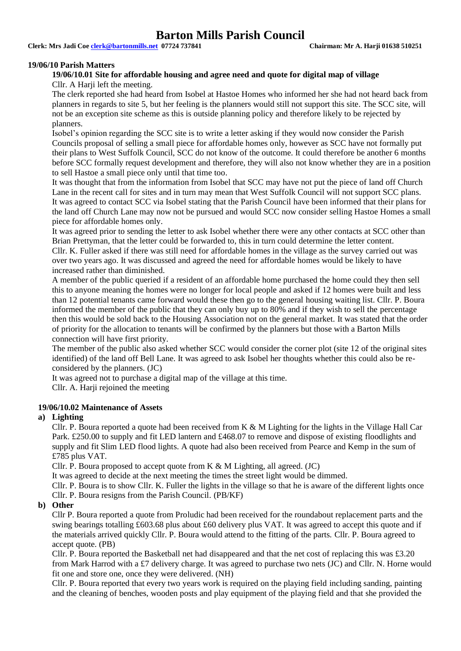**Clerk: Mrs Jadi Coe [clerk@bartonmills.net](mailto:clerk@bartonmills.net) 07724 737841 Chairman: Mr A. Harji 01638 510251**

#### **19/06/10 Parish Matters**

### **19/06/10.01 Site for affordable housing and agree need and quote for digital map of village**

Cllr. A Harii left the meeting.

The clerk reported she had heard from Isobel at Hastoe Homes who informed her she had not heard back from planners in regards to site 5, but her feeling is the planners would still not support this site. The SCC site, will not be an exception site scheme as this is outside planning policy and therefore likely to be rejected by planners.

Isobel's opinion regarding the SCC site is to write a letter asking if they would now consider the Parish Councils proposal of selling a small piece for affordable homes only, however as SCC have not formally put their plans to West Suffolk Council, SCC do not know of the outcome. It could therefore be another 6 months before SCC formally request development and therefore, they will also not know whether they are in a position to sell Hastoe a small piece only until that time too.

It was thought that from the information from Isobel that SCC may have not put the piece of land off Church Lane in the recent call for sites and in turn may mean that West Suffolk Council will not support SCC plans. It was agreed to contact SCC via Isobel stating that the Parish Council have been informed that their plans for the land off Church Lane may now not be pursued and would SCC now consider selling Hastoe Homes a small piece for affordable homes only.

It was agreed prior to sending the letter to ask Isobel whether there were any other contacts at SCC other than Brian Prettyman, that the letter could be forwarded to, this in turn could determine the letter content.

Cllr. K. Fuller asked if there was still need for affordable homes in the village as the survey carried out was over two years ago. It was discussed and agreed the need for affordable homes would be likely to have increased rather than diminished.

A member of the public queried if a resident of an affordable home purchased the home could they then sell this to anyone meaning the homes were no longer for local people and asked if 12 homes were built and less than 12 potential tenants came forward would these then go to the general housing waiting list. Cllr. P. Boura informed the member of the public that they can only buy up to 80% and if they wish to sell the percentage then this would be sold back to the Housing Association not on the general market. It was stated that the order of priority for the allocation to tenants will be confirmed by the planners but those with a Barton Mills connection will have first priority.

The member of the public also asked whether SCC would consider the corner plot (site 12 of the original sites identified) of the land off Bell Lane. It was agreed to ask Isobel her thoughts whether this could also be reconsidered by the planners. (JC)

It was agreed not to purchase a digital map of the village at this time.

Cllr. A. Harji rejoined the meeting

### **19/06/10.02 Maintenance of Assets**

### **a) Lighting**

Cllr. P. Boura reported a quote had been received from K & M Lighting for the lights in the Village Hall Car Park. £250.00 to supply and fit LED lantern and £468.07 to remove and dispose of existing floodlights and supply and fit Slim LED flood lights. A quote had also been received from Pearce and Kemp in the sum of £785 plus VAT.

Cllr. P. Boura proposed to accept quote from K & M Lighting, all agreed. (JC)

It was agreed to decide at the next meeting the times the street light would be dimmed.

Cllr. P. Boura is to show Cllr. K. Fuller the lights in the village so that he is aware of the different lights once Cllr. P. Boura resigns from the Parish Council. (PB/KF)

### **b) Other**

Cllr P. Boura reported a quote from Proludic had been received for the roundabout replacement parts and the swing bearings totalling £603.68 plus about £60 delivery plus VAT. It was agreed to accept this quote and if the materials arrived quickly Cllr. P. Boura would attend to the fitting of the parts. Cllr. P. Boura agreed to accept quote. (PB)

Cllr. P. Boura reported the Basketball net had disappeared and that the net cost of replacing this was £3.20 from Mark Harrod with a £7 delivery charge. It was agreed to purchase two nets (JC) and Cllr. N. Horne would fit one and store one, once they were delivered. (NH)

Cllr. P. Boura reported that every two years work is required on the playing field including sanding, painting and the cleaning of benches, wooden posts and play equipment of the playing field and that she provided the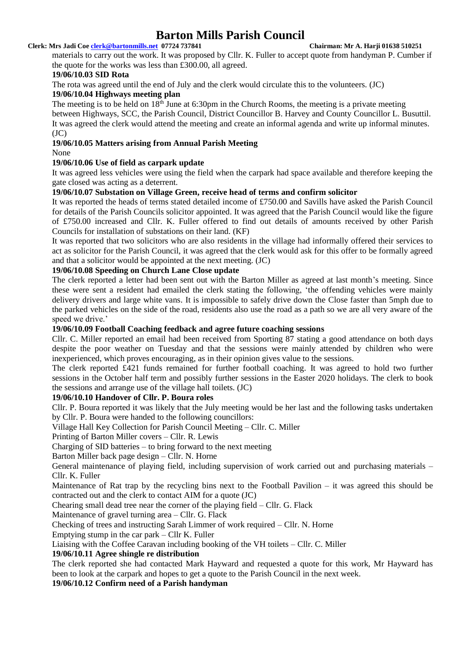### **Clerk: Mrs Jadi Coe [clerk@bartonmills.net](mailto:clerk@bartonmills.net) 07724 737841 Chairman: Mr A. Harji 01638 510251**

materials to carry out the work. It was proposed by Cllr. K. Fuller to accept quote from handyman P. Cumber if the quote for the works was less than £300.00, all agreed.

### **19/06/10.03 SID Rota**

The rota was agreed until the end of July and the clerk would circulate this to the volunteers. (JC)

# **19/06/10.04 Highways meeting plan**

The meeting is to be held on  $18<sup>th</sup>$  June at 6:30pm in the Church Rooms, the meeting is a private meeting between Highways, SCC, the Parish Council, District Councillor B. Harvey and County Councillor L. Busuttil. It was agreed the clerk would attend the meeting and create an informal agenda and write up informal minutes.  $(JC)$ 

# **19/06/10.05 Matters arising from Annual Parish Meeting**

### None

# **19/06/10.06 Use of field as carpark update**

It was agreed less vehicles were using the field when the carpark had space available and therefore keeping the gate closed was acting as a deterrent.

## **19/06/10.07 Substation on Village Green, receive head of terms and confirm solicitor**

It was reported the heads of terms stated detailed income of £750.00 and Savills have asked the Parish Council for details of the Parish Councils solicitor appointed. It was agreed that the Parish Council would like the figure of £750.00 increased and Cllr. K. Fuller offered to find out details of amounts received by other Parish Councils for installation of substations on their land. (KF)

It was reported that two solicitors who are also residents in the village had informally offered their services to act as solicitor for the Parish Council, it was agreed that the clerk would ask for this offer to be formally agreed and that a solicitor would be appointed at the next meeting. (JC)

# **19/06/10.08 Speeding on Church Lane Close update**

The clerk reported a letter had been sent out with the Barton Miller as agreed at last month's meeting. Since these were sent a resident had emailed the clerk stating the following, 'the offending vehicles were mainly delivery drivers and large white vans. It is impossible to safely drive down the Close faster than 5mph due to the parked vehicles on the side of the road, residents also use the road as a path so we are all very aware of the speed we drive.'

# **19/06/10.09 Football Coaching feedback and agree future coaching sessions**

Cllr. C. Miller reported an email had been received from Sporting 87 stating a good attendance on both days despite the poor weather on Tuesday and that the sessions were mainly attended by children who were inexperienced, which proves encouraging, as in their opinion gives value to the sessions.

The clerk reported £421 funds remained for further football coaching. It was agreed to hold two further sessions in the October half term and possibly further sessions in the Easter 2020 holidays. The clerk to book the sessions and arrange use of the village hall toilets. (JC)

# **19/06/10.10 Handover of Cllr. P. Boura roles**

Cllr. P. Boura reported it was likely that the July meeting would be her last and the following tasks undertaken by Cllr. P. Boura were handed to the following councillors:

Village Hall Key Collection for Parish Council Meeting – Cllr. C. Miller

Printing of Barton Miller covers – Cllr. R. Lewis

Charging of SID batteries – to bring forward to the next meeting

# Barton Miller back page design – Cllr. N. Horne

General maintenance of playing field, including supervision of work carried out and purchasing materials – Cllr. K. Fuller

Maintenance of Rat trap by the recycling bins next to the Football Pavilion – it was agreed this should be contracted out and the clerk to contact AIM for a quote (JC)

Chearing small dead tree near the corner of the playing field – Cllr. G. Flack

Maintenance of gravel turning area – Cllr. G. Flack

Checking of trees and instructing Sarah Limmer of work required – Cllr. N. Horne

Emptying stump in the car park – Cllr K. Fuller

Liaising with the Coffee Caravan including booking of the VH toilets – Cllr. C. Miller

### **19/06/10.11 Agree shingle re distribution**

The clerk reported she had contacted Mark Hayward and requested a quote for this work, Mr Hayward has been to look at the carpark and hopes to get a quote to the Parish Council in the next week.

**19/06/10.12 Confirm need of a Parish handyman**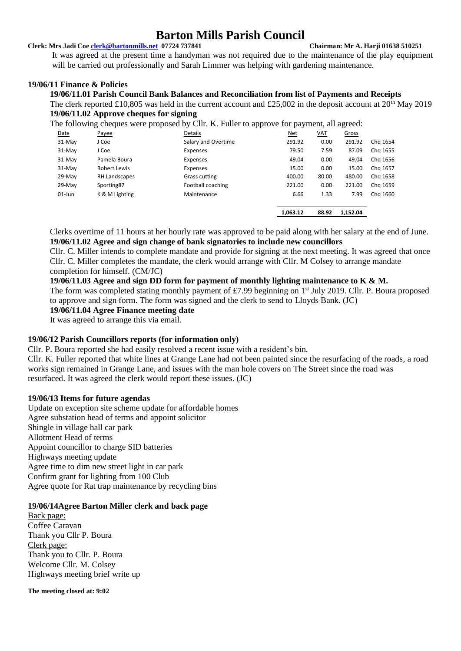#### **Clerk: Mrs Jadi Coe [clerk@bartonmills.net](mailto:clerk@bartonmills.net) 07724 737841 Chairman: Mr A. Harji 01638 510251**

It was agreed at the present time a handyman was not required due to the maintenance of the play equipment will be carried out professionally and Sarah Limmer was helping with gardening maintenance.

## **19/06/11 Finance & Policies**

### **19/06/11.01 Parish Council Bank Balances and Reconciliation from list of Payments and Receipts**

The clerk reported £10,805 was held in the current account and £25,002 in the deposit account at  $20<sup>th</sup>$  May 2019 **19/06/11.02 Approve cheques for signing**

The following cheques were proposed by Cllr. K. Fuller to approve for payment, all agreed:

| Date     | Payee               | Details             | <u>Net</u> | <u>VAT</u> | Gross    |          |
|----------|---------------------|---------------------|------------|------------|----------|----------|
| $31-Mav$ | J Coe               | Salary and Overtime | 291.92     | 0.00       | 291.92   | Chg 1654 |
| 31-May   | J Coe               | Expenses            | 79.50      | 7.59       | 87.09    | Chg 1655 |
| $31-Mav$ | Pamela Boura        | Expenses            | 49.04      | 0.00       | 49.04    | Chg 1656 |
| $31-Mav$ | <b>Robert Lewis</b> | Expenses            | 15.00      | 0.00       | 15.00    | Chg 1657 |
| $29-Mav$ | RH Landscapes       | Grass cutting       | 400.00     | 80.00      | 480.00   | Chg 1658 |
| $29-Mav$ | Sporting87          | Football coaching   | 221.00     | 0.00       | 221.00   | Chg 1659 |
| 01-Jun   | K & M Lighting      | Maintenance         | 6.66       | 1.33       | 7.99     | Chg 1660 |
|          |                     |                     | 1,063.12   | 88.92      | 1,152.04 |          |

Clerks overtime of 11 hours at her hourly rate was approved to be paid along with her salary at the end of June. **19/06/11.02 Agree and sign change of bank signatories to include new councillors**

Cllr. C. Miller intends to complete mandate and provide for signing at the next meeting. It was agreed that once Cllr. C. Miller completes the mandate, the clerk would arrange with Cllr. M Colsey to arrange mandate completion for himself. (CM/JC)

### **19/06/11.03 Agree and sign DD form for payment of monthly lighting maintenance to K & M.**

The form was completed stating monthly payment of £7.99 beginning on 1<sup>st</sup> July 2019. Cllr. P. Boura proposed to approve and sign form. The form was signed and the clerk to send to Lloyds Bank. (JC)

**19/06/11.04 Agree Finance meeting date**

It was agreed to arrange this via email.

### **19/06/12 Parish Councillors reports (for information only)**

Cllr. P. Boura reported she had easily resolved a recent issue with a resident's bin.

Cllr. K. Fuller reported that white lines at Grange Lane had not been painted since the resurfacing of the roads, a road works sign remained in Grange Lane, and issues with the man hole covers on The Street since the road was resurfaced. It was agreed the clerk would report these issues. (JC)

### **19/06/13 Items for future agendas**

Update on exception site scheme update for affordable homes Agree substation head of terms and appoint solicitor Shingle in village hall car park Allotment Head of terms Appoint councillor to charge SID batteries Highways meeting update Agree time to dim new street light in car park Confirm grant for lighting from 100 Club Agree quote for Rat trap maintenance by recycling bins

### **19/06/14Agree Barton Miller clerk and back page**

Back page: Coffee Caravan Thank you Cllr P. Boura Clerk page: Thank you to Cllr. P. Boura Welcome Cllr. M. Colsey Highways meeting brief write up

**The meeting closed at: 9:02**